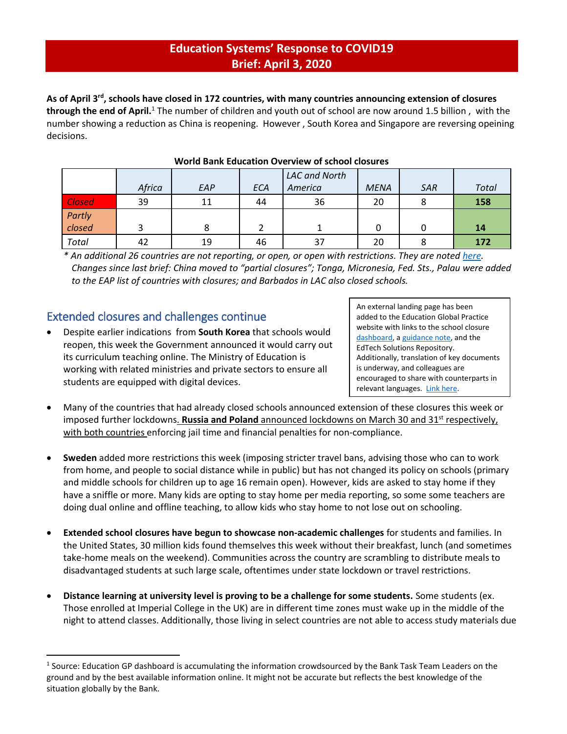## **Education Systems' Response to COVID19 Brief: April 3, 2020**

As of April 3<sup>rd</sup>, schools have closed in 172 countries, with many countries announcing extension of closures **through the end of April.**<sup>1</sup> The number of children and youth out of school are now around 1.5 billion , with the number showing a reduction as China is reopening. However , South Korea and Singapore are reversing opeining decisions.

|                  |        |     |            | LAC and North |             |            |              |
|------------------|--------|-----|------------|---------------|-------------|------------|--------------|
|                  | Africa | EAP | <b>ECA</b> | America       | <b>MENA</b> | <b>SAR</b> | <b>Total</b> |
| <b>Closed</b>    | 39     | 11  | 44         | 36            | 20          | 8          | 158          |
| Partly<br>closed |        |     |            |               |             |            |              |
|                  |        | 8   |            |               |             |            | 14           |
| <b>Total</b>     | 42     | 19  | 46         |               | 20          | 8          | 172          |

#### **World Bank Education Overview of school closures**

*\* An additional 26 countries are not reporting, or open, or open with restrictions. They are note[d here.](https://tab.worldbank.org/#/site/WBG/views/covid19/dsh_simple?:display_count=n&:showVizHome=n&:origin=viz_share_link&:iid=1) Changes since last brief: China moved to "partial closures"; Tonga, Micronesia, Fed. Sts., Palau were added to the EAP list of countries with closures; and Barbados in LAC also closed schools.*

## Extended closures and challenges continue

 $\overline{a}$ 

• Despite earlier indications from **South Korea** that schools would reopen, this week the Government announced it would carry out its curriculum teaching online. The Ministry of Education is working with related ministries and private sectors to ensure all students are equipped with digital devices.

An external landing page has been added to the Education Global Practice website with links to the school closure [dashboard,](https://tab.worldbank.org/#/site/WBG/views/covid19/dsh_covid19_timetrend/wb255520%40wb%2ead%2eworldbank%2eorg/5816deda%2d5a7e%2d419d%2db6e7%2d7d90596041aa?:display_count=n&:showVizHome=n&:origin=viz_share_link&:iid=2&) [a guidance note,](http://pubdocs.worldbank.org/en/450881585235950757/COVID19-Education-Sector-Guidance-Note-March26.pdf) and the EdTech Solutions Repository. Additionally, translation of key documents is underway, and colleagues are encouraged to share with counterparts in relevant languages. [Link here.](https://www.worldbank.org/en/data/interactive/2020/03/24/world-bank-education-and-covid-19)

- Many of the countries that had already closed schools announced extension of these closures this week or imposed further lockdowns. **Russia and Poland** announced lockdowns on March 30 and 31st respectively, with both countries enforcing jail time and financial penalties for non-compliance.
- **Sweden** added more restrictions this week (imposing stricter travel bans, advising those who can to work from home, and people to social distance while in public) but has not changed its policy on schools (primary and middle schools for children up to age 16 remain open). However, kids are asked to stay home if they have a sniffle or more. Many kids are opting to stay home per media reporting, so some some teachers are doing dual online and offline teaching, to allow kids who stay home to not lose out on schooling.
- **Extended school closures have begun to showcase non-academic challenges** for students and families. In the United States, 30 million kids found themselves this week without their breakfast, lunch (and sometimes take-home meals on the weekend). Communities across the country are scrambling to distribute meals to disadvantaged students at such large scale, oftentimes under state lockdown or travel restrictions.
- **Distance learning at university level is proving to be a challenge for some students.** Some students (ex. Those enrolled at Imperial College in the UK) are in different time zones must wake up in the middle of the night to attend classes. Additionally, those living in select countries are not able to access study materials due

<sup>&</sup>lt;sup>1</sup> Source: Education GP dashboard is accumulating the information crowdsourced by the Bank Task Team Leaders on the ground and by the best available information online. It might not be accurate but reflects the best knowledge of the situation globally by the Bank.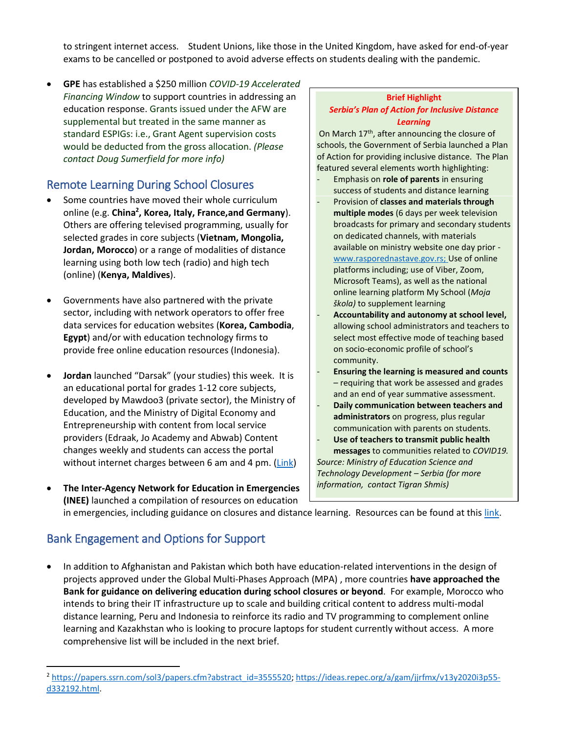to stringent internet access. Student Unions, like those in the United Kingdom, have asked for end-of-year exams to be cancelled or postponed to avoid adverse effects on students dealing with the pandemic.

• **GPE** has established a \$250 million *COVID-19 Accelerated Financing Window* to support countries in addressing an education response. Grants issued under the AFW are supplemental but treated in the same manner as standard ESPIGs: i.e., Grant Agent supervision costs would be deducted from the gross allocation. *(Please contact Doug Sumerfield for more info)*

## Remote Learning During School Closures

- Some countries have moved their whole curriculum online (e.g. **China<sup>2</sup> , Korea, Italy, France,and Germany**). Others are offering televised programming, usually for selected grades in core subjects (**Vietnam, Mongolia, Jordan, Morocco**) or a range of modalities of distance learning using both low tech (radio) and high tech (online) (**Kenya, Maldives**).
- Governments have also partnered with the private sector, including with network operators to offer free data services for education websites (**Korea, Cambodia**, **Egypt**) and/or with education technology firms to provide free online education resources (Indonesia).
- **Jordan** launched "Darsak" (your studies) this week. It is an educational portal for grades 1-12 core subjects, developed by Mawdoo3 (private sector), the Ministry of Education, and the Ministry of Digital Economy and Entrepreneurship with content from local service providers (Edraak, Jo Academy and Abwab) Content changes weekly and students can access the portal without internet charges between 6 am and 4 pm. [\(Link\)](https://darsak.gov.jo/)
- **The Inter-Agency Network for Education in Emergencies (INEE)** launched a compilation of resources on education

#### **Brief Highlight**  *Serbia's Plan of Action for Inclusive Distance Learning*

On March 17<sup>th</sup>, after announcing the closure of schools, the Government of Serbia launched a Plan of Action for providing inclusive distance. The Plan featured several elements worth highlighting:

- Emphasis on **role of parents** in ensuring success of students and distance learning
- Provision of **classes and materials through multiple modes** (6 days per week television broadcasts for primary and secondary students on dedicated channels, with materials available on ministry website one day prior [www.rasporednastave.gov.rs;](http://www.rasporednastave.gov.rs/) Use of online platforms including; use of Viber, Zoom, Microsoft Teams), as well as the national online learning platform My School (*Moja škola)* to supplement learning
- **Accountability and autonomy at school level,** allowing school administrators and teachers to select most effective mode of teaching based on socio-economic profile of school's community.
- **Ensuring the learning is measured and counts** – requiring that work be assessed and grades and an end of year summative assessment.
- **Daily communication between teachers and administrators** on progress, plus regular communication with parents on students.
- **Use of teachers to transmit public health messages** to communities related to *COVID19. Source: Ministry of Education Science and Technology Development – Serbia (for more information, contact Tigran Shmis)*

in emergencies, including guidance on closures and distance learning. Resources can be found at this [link.](https://inee.org/collections/coronavirus-covid-19-resources)

## Bank Engagement and Options for Support

 $\overline{a}$ 

• In addition to Afghanistan and Pakistan which both have education-related interventions in the design of projects approved under the Global Multi-Phases Approach (MPA) , more countries **have approached the Bank for guidance on delivering education during school closures or beyond**. For example, Morocco who intends to bring their IT infrastructure up to scale and building critical content to address multi-modal distance learning, Peru and Indonesia to reinforce its radio and TV programming to complement online learning and Kazakhstan who is looking to procure laptops for student currently without access. A more comprehensive list will be included in the next brief.

<sup>2</sup> [https://papers.ssrn.com/sol3/papers.cfm?abstract\\_id=3555520;](https://papers.ssrn.com/sol3/papers.cfm?abstract_id=3555520) [https://ideas.repec.org/a/gam/jjrfmx/v13y2020i3p55](https://ideas.repec.org/a/gam/jjrfmx/v13y2020i3p55-d332192.html) [d332192.html.](https://ideas.repec.org/a/gam/jjrfmx/v13y2020i3p55-d332192.html)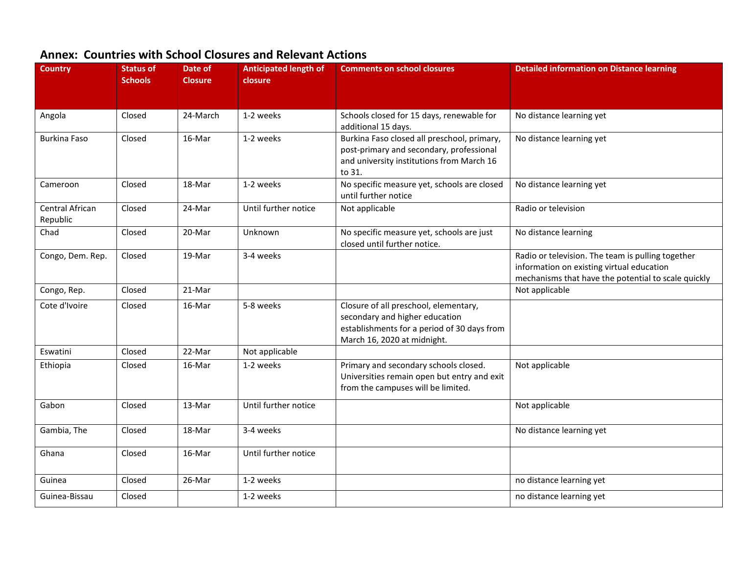| <b>Country</b>              | <b>Status of</b><br><b>Schools</b> | Date of<br><b>Closure</b> | <b>Anticipated length of</b><br>closure | <b>Comments on school closures</b>                                                                                                                    | <b>Detailed information on Distance learning</b>                                                                                                      |
|-----------------------------|------------------------------------|---------------------------|-----------------------------------------|-------------------------------------------------------------------------------------------------------------------------------------------------------|-------------------------------------------------------------------------------------------------------------------------------------------------------|
|                             |                                    |                           |                                         |                                                                                                                                                       |                                                                                                                                                       |
| Angola                      | Closed                             | 24-March                  | 1-2 weeks                               | Schools closed for 15 days, renewable for<br>additional 15 days.                                                                                      | No distance learning yet                                                                                                                              |
| <b>Burkina Faso</b>         | Closed                             | 16-Mar                    | 1-2 weeks                               | Burkina Faso closed all preschool, primary,<br>post-primary and secondary, professional<br>and university institutions from March 16<br>to 31.        | No distance learning yet                                                                                                                              |
| Cameroon                    | Closed                             | 18-Mar                    | 1-2 weeks                               | No specific measure yet, schools are closed<br>until further notice                                                                                   | No distance learning yet                                                                                                                              |
| Central African<br>Republic | Closed                             | 24-Mar                    | Until further notice                    | Not applicable                                                                                                                                        | Radio or television                                                                                                                                   |
| Chad                        | Closed                             | 20-Mar                    | Unknown                                 | No specific measure yet, schools are just<br>closed until further notice.                                                                             | No distance learning                                                                                                                                  |
| Congo, Dem. Rep.            | Closed                             | 19-Mar                    | 3-4 weeks                               |                                                                                                                                                       | Radio or television. The team is pulling together<br>information on existing virtual education<br>mechanisms that have the potential to scale quickly |
| Congo, Rep.                 | Closed                             | 21-Mar                    |                                         |                                                                                                                                                       | Not applicable                                                                                                                                        |
| Cote d'Ivoire               | Closed                             | 16-Mar                    | 5-8 weeks                               | Closure of all preschool, elementary,<br>secondary and higher education<br>establishments for a period of 30 days from<br>March 16, 2020 at midnight. |                                                                                                                                                       |
| Eswatini                    | Closed                             | 22-Mar                    | Not applicable                          |                                                                                                                                                       |                                                                                                                                                       |
| Ethiopia                    | Closed                             | 16-Mar                    | 1-2 weeks                               | Primary and secondary schools closed.<br>Universities remain open but entry and exit<br>from the campuses will be limited.                            | Not applicable                                                                                                                                        |
| Gabon                       | Closed                             | 13-Mar                    | Until further notice                    |                                                                                                                                                       | Not applicable                                                                                                                                        |
| Gambia, The                 | Closed                             | 18-Mar                    | 3-4 weeks                               |                                                                                                                                                       | No distance learning yet                                                                                                                              |
| Ghana                       | Closed                             | 16-Mar                    | Until further notice                    |                                                                                                                                                       |                                                                                                                                                       |
| Guinea                      | Closed                             | 26-Mar                    | 1-2 weeks                               |                                                                                                                                                       | no distance learning yet                                                                                                                              |
| Guinea-Bissau               | Closed                             |                           | 1-2 weeks                               |                                                                                                                                                       | no distance learning yet                                                                                                                              |

# **Annex: Countries with School Closures and Relevant Actions**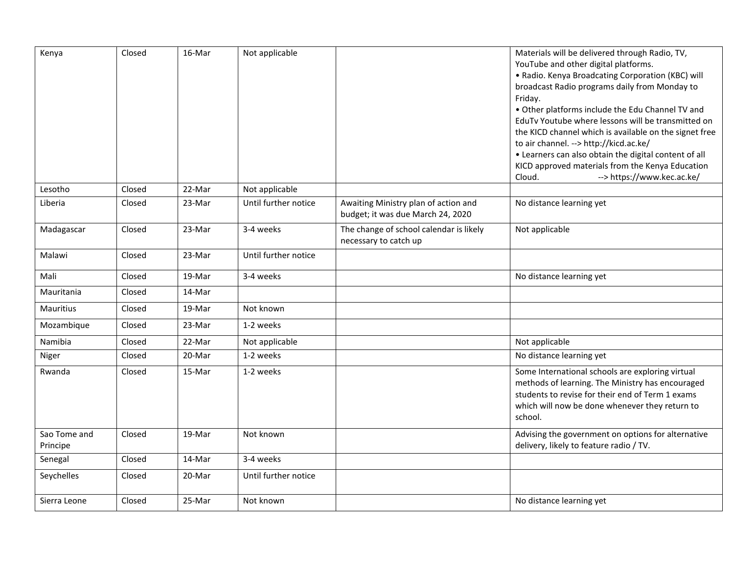| Kenya                    | Closed | 16-Mar | Not applicable       |                                                                           | Materials will be delivered through Radio, TV,<br>YouTube and other digital platforms.<br>• Radio. Kenya Broadcating Corporation (KBC) will<br>broadcast Radio programs daily from Monday to<br>Friday.<br>• Other platforms include the Edu Channel TV and<br>EduTv Youtube where lessons will be transmitted on<br>the KICD channel which is available on the signet free<br>to air channel. --> http://kicd.ac.ke/<br>• Learners can also obtain the digital content of all<br>KICD approved materials from the Kenya Education<br>--> https://www.kec.ac.ke/<br>Cloud. |
|--------------------------|--------|--------|----------------------|---------------------------------------------------------------------------|----------------------------------------------------------------------------------------------------------------------------------------------------------------------------------------------------------------------------------------------------------------------------------------------------------------------------------------------------------------------------------------------------------------------------------------------------------------------------------------------------------------------------------------------------------------------------|
| Lesotho                  | Closed | 22-Mar | Not applicable       |                                                                           |                                                                                                                                                                                                                                                                                                                                                                                                                                                                                                                                                                            |
| Liberia                  | Closed | 23-Mar | Until further notice | Awaiting Ministry plan of action and<br>budget; it was due March 24, 2020 | No distance learning yet                                                                                                                                                                                                                                                                                                                                                                                                                                                                                                                                                   |
| Madagascar               | Closed | 23-Mar | 3-4 weeks            | The change of school calendar is likely<br>necessary to catch up          | Not applicable                                                                                                                                                                                                                                                                                                                                                                                                                                                                                                                                                             |
| Malawi                   | Closed | 23-Mar | Until further notice |                                                                           |                                                                                                                                                                                                                                                                                                                                                                                                                                                                                                                                                                            |
| Mali                     | Closed | 19-Mar | 3-4 weeks            |                                                                           | No distance learning yet                                                                                                                                                                                                                                                                                                                                                                                                                                                                                                                                                   |
| Mauritania               | Closed | 14-Mar |                      |                                                                           |                                                                                                                                                                                                                                                                                                                                                                                                                                                                                                                                                                            |
| Mauritius                | Closed | 19-Mar | Not known            |                                                                           |                                                                                                                                                                                                                                                                                                                                                                                                                                                                                                                                                                            |
| Mozambique               | Closed | 23-Mar | 1-2 weeks            |                                                                           |                                                                                                                                                                                                                                                                                                                                                                                                                                                                                                                                                                            |
| Namibia                  | Closed | 22-Mar | Not applicable       |                                                                           | Not applicable                                                                                                                                                                                                                                                                                                                                                                                                                                                                                                                                                             |
| Niger                    | Closed | 20-Mar | 1-2 weeks            |                                                                           | No distance learning yet                                                                                                                                                                                                                                                                                                                                                                                                                                                                                                                                                   |
| Rwanda                   | Closed | 15-Mar | 1-2 weeks            |                                                                           | Some International schools are exploring virtual<br>methods of learning. The Ministry has encouraged<br>students to revise for their end of Term 1 exams<br>which will now be done whenever they return to<br>school.                                                                                                                                                                                                                                                                                                                                                      |
| Sao Tome and<br>Principe | Closed | 19-Mar | Not known            |                                                                           | Advising the government on options for alternative<br>delivery, likely to feature radio / TV.                                                                                                                                                                                                                                                                                                                                                                                                                                                                              |
| Senegal                  | Closed | 14-Mar | 3-4 weeks            |                                                                           |                                                                                                                                                                                                                                                                                                                                                                                                                                                                                                                                                                            |
| Seychelles               | Closed | 20-Mar | Until further notice |                                                                           |                                                                                                                                                                                                                                                                                                                                                                                                                                                                                                                                                                            |
| Sierra Leone             | Closed | 25-Mar | Not known            |                                                                           | No distance learning yet                                                                                                                                                                                                                                                                                                                                                                                                                                                                                                                                                   |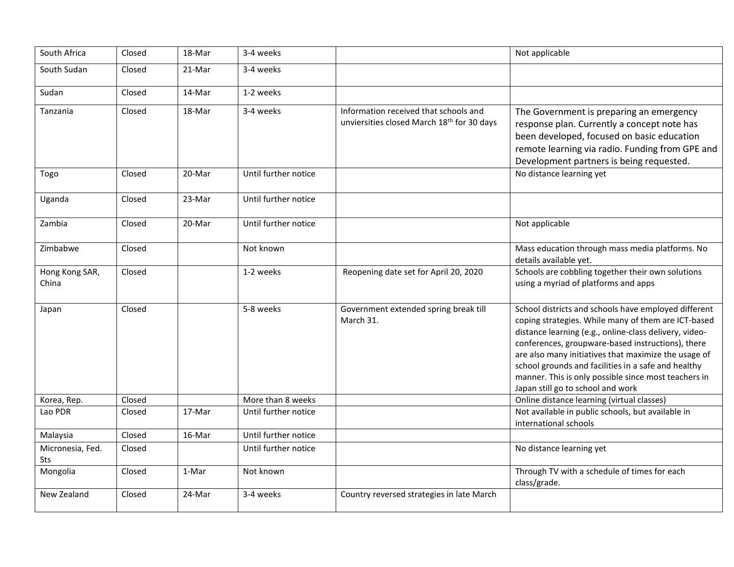| South Africa            | Closed | 18-Mar | 3-4 weeks            |                                                                                                 | Not applicable                                                                                                                                                                                                                                                                                                                                                                                                                         |
|-------------------------|--------|--------|----------------------|-------------------------------------------------------------------------------------------------|----------------------------------------------------------------------------------------------------------------------------------------------------------------------------------------------------------------------------------------------------------------------------------------------------------------------------------------------------------------------------------------------------------------------------------------|
| South Sudan             | Closed | 21-Mar | 3-4 weeks            |                                                                                                 |                                                                                                                                                                                                                                                                                                                                                                                                                                        |
| Sudan                   | Closed | 14-Mar | 1-2 weeks            |                                                                                                 |                                                                                                                                                                                                                                                                                                                                                                                                                                        |
| Tanzania                | Closed | 18-Mar | 3-4 weeks            | Information received that schools and<br>unviersities closed March 18 <sup>th</sup> for 30 days | The Government is preparing an emergency<br>response plan. Currently a concept note has<br>been developed, focused on basic education<br>remote learning via radio. Funding from GPE and<br>Development partners is being requested.                                                                                                                                                                                                   |
| Togo                    | Closed | 20-Mar | Until further notice |                                                                                                 | No distance learning yet                                                                                                                                                                                                                                                                                                                                                                                                               |
| Uganda                  | Closed | 23-Mar | Until further notice |                                                                                                 |                                                                                                                                                                                                                                                                                                                                                                                                                                        |
| Zambia                  | Closed | 20-Mar | Until further notice |                                                                                                 | Not applicable                                                                                                                                                                                                                                                                                                                                                                                                                         |
| Zimbabwe                | Closed |        | Not known            |                                                                                                 | Mass education through mass media platforms. No<br>details available yet.                                                                                                                                                                                                                                                                                                                                                              |
| Hong Kong SAR,<br>China | Closed |        | 1-2 weeks            | Reopening date set for April 20, 2020                                                           | Schools are cobbling together their own solutions<br>using a myriad of platforms and apps                                                                                                                                                                                                                                                                                                                                              |
| Japan                   | Closed |        | 5-8 weeks            | Government extended spring break till<br>March 31.                                              | School districts and schools have employed different<br>coping strategies. While many of them are ICT-based<br>distance learning (e.g., online-class delivery, video-<br>conferences, groupware-based instructions), there<br>are also many initiatives that maximize the usage of<br>school grounds and facilities in a safe and healthy<br>manner. This is only possible since most teachers in<br>Japan still go to school and work |
| Korea, Rep.             | Closed |        | More than 8 weeks    |                                                                                                 | Online distance learning (virtual classes)                                                                                                                                                                                                                                                                                                                                                                                             |
| Lao PDR                 | Closed | 17-Mar | Until further notice |                                                                                                 | Not available in public schools, but available in<br>international schools                                                                                                                                                                                                                                                                                                                                                             |
| Malaysia                | Closed | 16-Mar | Until further notice |                                                                                                 |                                                                                                                                                                                                                                                                                                                                                                                                                                        |
| Micronesia, Fed.<br>Sts | Closed |        | Until further notice |                                                                                                 | No distance learning yet                                                                                                                                                                                                                                                                                                                                                                                                               |
| Mongolia                | Closed | 1-Mar  | Not known            |                                                                                                 | Through TV with a schedule of times for each<br>class/grade.                                                                                                                                                                                                                                                                                                                                                                           |
| New Zealand             | Closed | 24-Mar | 3-4 weeks            | Country reversed strategies in late March                                                       |                                                                                                                                                                                                                                                                                                                                                                                                                                        |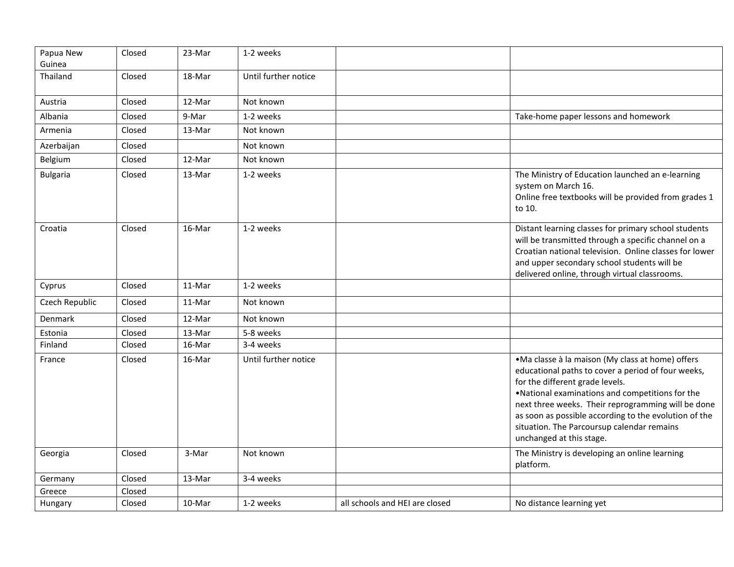| Papua New<br>Guinea | Closed | 23-Mar | 1-2 weeks            |                                |                                                                                                                                                                                                                                                                                                                                                                                        |
|---------------------|--------|--------|----------------------|--------------------------------|----------------------------------------------------------------------------------------------------------------------------------------------------------------------------------------------------------------------------------------------------------------------------------------------------------------------------------------------------------------------------------------|
| Thailand            | Closed | 18-Mar | Until further notice |                                |                                                                                                                                                                                                                                                                                                                                                                                        |
|                     |        |        |                      |                                |                                                                                                                                                                                                                                                                                                                                                                                        |
| Austria             | Closed | 12-Mar | Not known            |                                |                                                                                                                                                                                                                                                                                                                                                                                        |
| Albania             | Closed | 9-Mar  | 1-2 weeks            |                                | Take-home paper lessons and homework                                                                                                                                                                                                                                                                                                                                                   |
| Armenia             | Closed | 13-Mar | Not known            |                                |                                                                                                                                                                                                                                                                                                                                                                                        |
| Azerbaijan          | Closed |        | Not known            |                                |                                                                                                                                                                                                                                                                                                                                                                                        |
| Belgium             | Closed | 12-Mar | Not known            |                                |                                                                                                                                                                                                                                                                                                                                                                                        |
| <b>Bulgaria</b>     | Closed | 13-Mar | 1-2 weeks            |                                | The Ministry of Education launched an e-learning<br>system on March 16.<br>Online free textbooks will be provided from grades 1<br>to 10.                                                                                                                                                                                                                                              |
| Croatia             | Closed | 16-Mar | 1-2 weeks            |                                | Distant learning classes for primary school students<br>will be transmitted through a specific channel on a<br>Croatian national television. Online classes for lower<br>and upper secondary school students will be<br>delivered online, through virtual classrooms.                                                                                                                  |
| Cyprus              | Closed | 11-Mar | 1-2 weeks            |                                |                                                                                                                                                                                                                                                                                                                                                                                        |
| Czech Republic      | Closed | 11-Mar | Not known            |                                |                                                                                                                                                                                                                                                                                                                                                                                        |
| Denmark             | Closed | 12-Mar | Not known            |                                |                                                                                                                                                                                                                                                                                                                                                                                        |
| Estonia             | Closed | 13-Mar | 5-8 weeks            |                                |                                                                                                                                                                                                                                                                                                                                                                                        |
| Finland             | Closed | 16-Mar | 3-4 weeks            |                                |                                                                                                                                                                                                                                                                                                                                                                                        |
| France              | Closed | 16-Mar | Until further notice |                                | •Ma classe à la maison (My class at home) offers<br>educational paths to cover a period of four weeks,<br>for the different grade levels.<br>. National examinations and competitions for the<br>next three weeks. Their reprogramming will be done<br>as soon as possible according to the evolution of the<br>situation. The Parcoursup calendar remains<br>unchanged at this stage. |
| Georgia             | Closed | 3-Mar  | Not known            |                                | The Ministry is developing an online learning<br>platform.                                                                                                                                                                                                                                                                                                                             |
| Germany             | Closed | 13-Mar | 3-4 weeks            |                                |                                                                                                                                                                                                                                                                                                                                                                                        |
| Greece              | Closed |        |                      |                                |                                                                                                                                                                                                                                                                                                                                                                                        |
| Hungary             | Closed | 10-Mar | 1-2 weeks            | all schools and HEI are closed | No distance learning yet                                                                                                                                                                                                                                                                                                                                                               |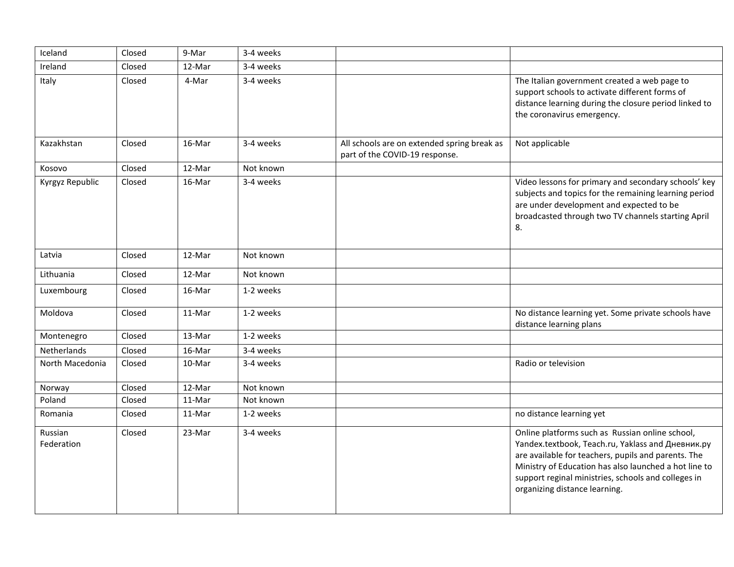| Iceland               | Closed | 9-Mar  | 3-4 weeks |                                                                               |                                                                                                                                                                                                                                                                                                              |
|-----------------------|--------|--------|-----------|-------------------------------------------------------------------------------|--------------------------------------------------------------------------------------------------------------------------------------------------------------------------------------------------------------------------------------------------------------------------------------------------------------|
| Ireland               | Closed | 12-Mar | 3-4 weeks |                                                                               |                                                                                                                                                                                                                                                                                                              |
| Italy                 | Closed | 4-Mar  | 3-4 weeks |                                                                               | The Italian government created a web page to<br>support schools to activate different forms of<br>distance learning during the closure period linked to<br>the coronavirus emergency.                                                                                                                        |
| Kazakhstan            | Closed | 16-Mar | 3-4 weeks | All schools are on extended spring break as<br>part of the COVID-19 response. | Not applicable                                                                                                                                                                                                                                                                                               |
| Kosovo                | Closed | 12-Mar | Not known |                                                                               |                                                                                                                                                                                                                                                                                                              |
| Kyrgyz Republic       | Closed | 16-Mar | 3-4 weeks |                                                                               | Video lessons for primary and secondary schools' key<br>subjects and topics for the remaining learning period<br>are under development and expected to be<br>broadcasted through two TV channels starting April<br>8.                                                                                        |
| Latvia                | Closed | 12-Mar | Not known |                                                                               |                                                                                                                                                                                                                                                                                                              |
| Lithuania             | Closed | 12-Mar | Not known |                                                                               |                                                                                                                                                                                                                                                                                                              |
| Luxembourg            | Closed | 16-Mar | 1-2 weeks |                                                                               |                                                                                                                                                                                                                                                                                                              |
| Moldova               | Closed | 11-Mar | 1-2 weeks |                                                                               | No distance learning yet. Some private schools have<br>distance learning plans                                                                                                                                                                                                                               |
| Montenegro            | Closed | 13-Mar | 1-2 weeks |                                                                               |                                                                                                                                                                                                                                                                                                              |
| Netherlands           | Closed | 16-Mar | 3-4 weeks |                                                                               |                                                                                                                                                                                                                                                                                                              |
| North Macedonia       | Closed | 10-Mar | 3-4 weeks |                                                                               | Radio or television                                                                                                                                                                                                                                                                                          |
| Norway                | Closed | 12-Mar | Not known |                                                                               |                                                                                                                                                                                                                                                                                                              |
| Poland                | Closed | 11-Mar | Not known |                                                                               |                                                                                                                                                                                                                                                                                                              |
| Romania               | Closed | 11-Mar | 1-2 weeks |                                                                               | no distance learning yet                                                                                                                                                                                                                                                                                     |
| Russian<br>Federation | Closed | 23-Mar | 3-4 weeks |                                                                               | Online platforms such as Russian online school,<br>Yandex.textbook, Teach.ru, Yaklass and Дневник.ру<br>are available for teachers, pupils and parents. The<br>Ministry of Education has also launched a hot line to<br>support reginal ministries, schools and colleges in<br>organizing distance learning. |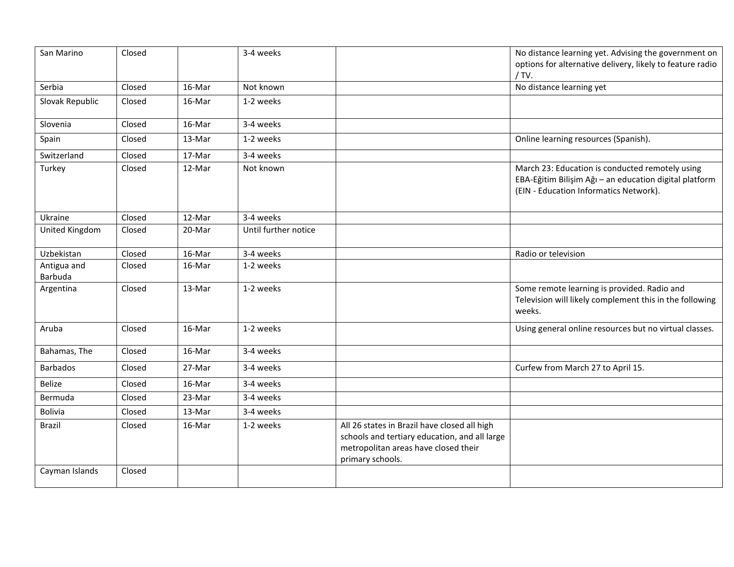| San Marino             | Closed |        | 3-4 weeks            |                                                                                                                                                           | No distance learning yet. Advising the government on<br>options for alternative delivery, likely to feature radio<br>/ TV.                          |
|------------------------|--------|--------|----------------------|-----------------------------------------------------------------------------------------------------------------------------------------------------------|-----------------------------------------------------------------------------------------------------------------------------------------------------|
| Serbia                 | Closed | 16-Mar | Not known            |                                                                                                                                                           | No distance learning yet                                                                                                                            |
| Slovak Republic        | Closed | 16-Mar | 1-2 weeks            |                                                                                                                                                           |                                                                                                                                                     |
| Slovenia               | Closed | 16-Mar | 3-4 weeks            |                                                                                                                                                           |                                                                                                                                                     |
| Spain                  | Closed | 13-Mar | 1-2 weeks            |                                                                                                                                                           | Online learning resources (Spanish).                                                                                                                |
| Switzerland            | Closed | 17-Mar | 3-4 weeks            |                                                                                                                                                           |                                                                                                                                                     |
| Turkey                 | Closed | 12-Mar | Not known            |                                                                                                                                                           | March 23: Education is conducted remotely using<br>EBA-Eğitim Bilişim Ağı - an education digital platform<br>(EIN - Education Informatics Network). |
| Ukraine                | Closed | 12-Mar | 3-4 weeks            |                                                                                                                                                           |                                                                                                                                                     |
| United Kingdom         | Closed | 20-Mar | Until further notice |                                                                                                                                                           |                                                                                                                                                     |
| Uzbekistan             | Closed | 16-Mar | 3-4 weeks            |                                                                                                                                                           | Radio or television                                                                                                                                 |
| Antigua and<br>Barbuda | Closed | 16-Mar | 1-2 weeks            |                                                                                                                                                           |                                                                                                                                                     |
| Argentina              | Closed | 13-Mar | 1-2 weeks            |                                                                                                                                                           | Some remote learning is provided. Radio and<br>Television will likely complement this in the following<br>weeks.                                    |
| Aruba                  | Closed | 16-Mar | 1-2 weeks            |                                                                                                                                                           | Using general online resources but no virtual classes.                                                                                              |
| Bahamas, The           | Closed | 16-Mar | 3-4 weeks            |                                                                                                                                                           |                                                                                                                                                     |
| <b>Barbados</b>        | Closed | 27-Mar | 3-4 weeks            |                                                                                                                                                           | Curfew from March 27 to April 15.                                                                                                                   |
| Belize                 | Closed | 16-Mar | 3-4 weeks            |                                                                                                                                                           |                                                                                                                                                     |
| Bermuda                | Closed | 23-Mar | 3-4 weeks            |                                                                                                                                                           |                                                                                                                                                     |
| Bolivia                | Closed | 13-Mar | 3-4 weeks            |                                                                                                                                                           |                                                                                                                                                     |
| Brazil                 | Closed | 16-Mar | 1-2 weeks            | All 26 states in Brazil have closed all high<br>schools and tertiary education, and all large<br>metropolitan areas have closed their<br>primary schools. |                                                                                                                                                     |
| Cayman Islands         | Closed |        |                      |                                                                                                                                                           |                                                                                                                                                     |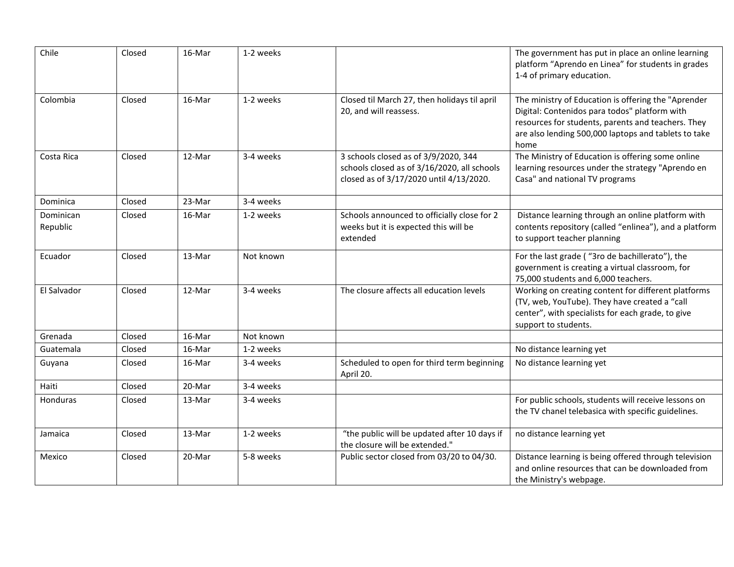| Chile                 | Closed | 16-Mar | 1-2 weeks |                                                                                                                                | The government has put in place an online learning<br>platform "Aprendo en Linea" for students in grades<br>1-4 of primary education.                                                                                      |
|-----------------------|--------|--------|-----------|--------------------------------------------------------------------------------------------------------------------------------|----------------------------------------------------------------------------------------------------------------------------------------------------------------------------------------------------------------------------|
| Colombia              | Closed | 16-Mar | 1-2 weeks | Closed til March 27, then holidays til april<br>20, and will reassess.                                                         | The ministry of Education is offering the "Aprender<br>Digital: Contenidos para todos" platform with<br>resources for students, parents and teachers. They<br>are also lending 500,000 laptops and tablets to take<br>home |
| Costa Rica            | Closed | 12-Mar | 3-4 weeks | 3 schools closed as of 3/9/2020, 344<br>schools closed as of 3/16/2020, all schools<br>closed as of 3/17/2020 until 4/13/2020. | The Ministry of Education is offering some online<br>learning resources under the strategy "Aprendo en<br>Casa" and national TV programs                                                                                   |
| Dominica              | Closed | 23-Mar | 3-4 weeks |                                                                                                                                |                                                                                                                                                                                                                            |
| Dominican<br>Republic | Closed | 16-Mar | 1-2 weeks | Schools announced to officially close for 2<br>weeks but it is expected this will be<br>extended                               | Distance learning through an online platform with<br>contents repository (called "enlinea"), and a platform<br>to support teacher planning                                                                                 |
| Ecuador               | Closed | 13-Mar | Not known |                                                                                                                                | For the last grade ("3ro de bachillerato"), the<br>government is creating a virtual classroom, for<br>75,000 students and 6,000 teachers.                                                                                  |
| El Salvador           | Closed | 12-Mar | 3-4 weeks | The closure affects all education levels                                                                                       | Working on creating content for different platforms<br>(TV, web, YouTube). They have created a "call<br>center", with specialists for each grade, to give<br>support to students.                                          |
| Grenada               | Closed | 16-Mar | Not known |                                                                                                                                |                                                                                                                                                                                                                            |
| Guatemala             | Closed | 16-Mar | 1-2 weeks |                                                                                                                                | No distance learning yet                                                                                                                                                                                                   |
| Guyana                | Closed | 16-Mar | 3-4 weeks | Scheduled to open for third term beginning<br>April 20.                                                                        | No distance learning yet                                                                                                                                                                                                   |
| Haiti                 | Closed | 20-Mar | 3-4 weeks |                                                                                                                                |                                                                                                                                                                                                                            |
| Honduras              | Closed | 13-Mar | 3-4 weeks |                                                                                                                                | For public schools, students will receive lessons on<br>the TV chanel telebasica with specific guidelines.                                                                                                                 |
| Jamaica               | Closed | 13-Mar | 1-2 weeks | "the public will be updated after 10 days if<br>the closure will be extended."                                                 | no distance learning yet                                                                                                                                                                                                   |
| Mexico                | Closed | 20-Mar | 5-8 weeks | Public sector closed from 03/20 to 04/30.                                                                                      | Distance learning is being offered through television<br>and online resources that can be downloaded from<br>the Ministry's webpage.                                                                                       |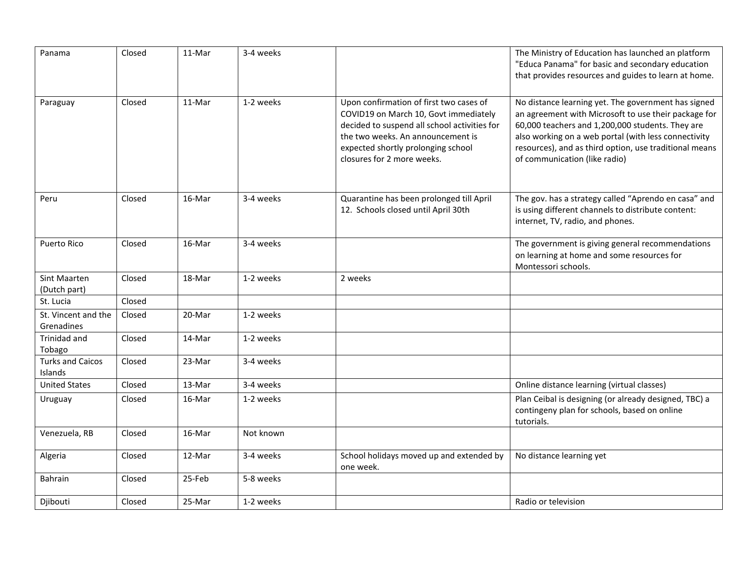| Panama                                    | Closed | 11-Mar | 3-4 weeks |                                                                                                                                                                                                                                           | The Ministry of Education has launched an platform<br>"Educa Panama" for basic and secondary education<br>that provides resources and guides to learn at home.                                                                                                                                                     |
|-------------------------------------------|--------|--------|-----------|-------------------------------------------------------------------------------------------------------------------------------------------------------------------------------------------------------------------------------------------|--------------------------------------------------------------------------------------------------------------------------------------------------------------------------------------------------------------------------------------------------------------------------------------------------------------------|
| Paraguay                                  | Closed | 11-Mar | 1-2 weeks | Upon confirmation of first two cases of<br>COVID19 on March 10, Govt immediately<br>decided to suspend all school activities for<br>the two weeks. An announcement is<br>expected shortly prolonging school<br>closures for 2 more weeks. | No distance learning yet. The government has signed<br>an agreement with Microsoft to use their package for<br>60,000 teachers and 1,200,000 students. They are<br>also working on a web portal (with less connectivity<br>resources), and as third option, use traditional means<br>of communication (like radio) |
| Peru                                      | Closed | 16-Mar | 3-4 weeks | Quarantine has been prolonged till April<br>12. Schools closed until April 30th                                                                                                                                                           | The gov. has a strategy called "Aprendo en casa" and<br>is using different channels to distribute content:<br>internet, TV, radio, and phones.                                                                                                                                                                     |
| Puerto Rico                               | Closed | 16-Mar | 3-4 weeks |                                                                                                                                                                                                                                           | The government is giving general recommendations<br>on learning at home and some resources for<br>Montessori schools.                                                                                                                                                                                              |
| <b>Sint Maarten</b><br>(Dutch part)       | Closed | 18-Mar | 1-2 weeks | 2 weeks                                                                                                                                                                                                                                   |                                                                                                                                                                                                                                                                                                                    |
| St. Lucia                                 | Closed |        |           |                                                                                                                                                                                                                                           |                                                                                                                                                                                                                                                                                                                    |
| St. Vincent and the<br>Grenadines         | Closed | 20-Mar | 1-2 weeks |                                                                                                                                                                                                                                           |                                                                                                                                                                                                                                                                                                                    |
| <b>Trinidad and</b><br>Tobago             | Closed | 14-Mar | 1-2 weeks |                                                                                                                                                                                                                                           |                                                                                                                                                                                                                                                                                                                    |
| <b>Turks and Caicos</b><br><b>Islands</b> | Closed | 23-Mar | 3-4 weeks |                                                                                                                                                                                                                                           |                                                                                                                                                                                                                                                                                                                    |
| <b>United States</b>                      | Closed | 13-Mar | 3-4 weeks |                                                                                                                                                                                                                                           | Online distance learning (virtual classes)                                                                                                                                                                                                                                                                         |
| Uruguay                                   | Closed | 16-Mar | 1-2 weeks |                                                                                                                                                                                                                                           | Plan Ceibal is designing (or already designed, TBC) a<br>contingeny plan for schools, based on online<br>tutorials.                                                                                                                                                                                                |
| Venezuela, RB                             | Closed | 16-Mar | Not known |                                                                                                                                                                                                                                           |                                                                                                                                                                                                                                                                                                                    |
| Algeria                                   | Closed | 12-Mar | 3-4 weeks | School holidays moved up and extended by<br>one week.                                                                                                                                                                                     | No distance learning yet                                                                                                                                                                                                                                                                                           |
| Bahrain                                   | Closed | 25-Feb | 5-8 weeks |                                                                                                                                                                                                                                           |                                                                                                                                                                                                                                                                                                                    |
| Djibouti                                  | Closed | 25-Mar | 1-2 weeks |                                                                                                                                                                                                                                           | Radio or television                                                                                                                                                                                                                                                                                                |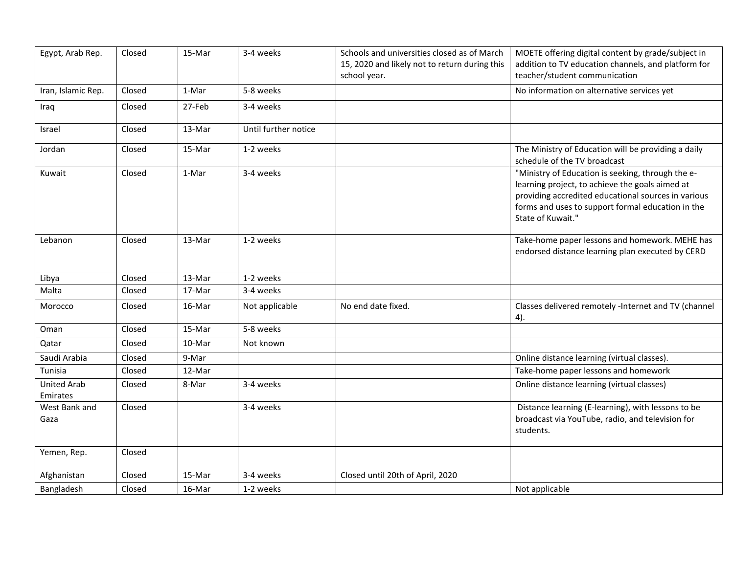| Egypt, Arab Rep.               | Closed | 15-Mar | 3-4 weeks            | Schools and universities closed as of March<br>15, 2020 and likely not to return during this<br>school year. | MOETE offering digital content by grade/subject in<br>addition to TV education channels, and platform for<br>teacher/student communication                                                                                            |
|--------------------------------|--------|--------|----------------------|--------------------------------------------------------------------------------------------------------------|---------------------------------------------------------------------------------------------------------------------------------------------------------------------------------------------------------------------------------------|
| Iran, Islamic Rep.             | Closed | 1-Mar  | 5-8 weeks            |                                                                                                              | No information on alternative services yet                                                                                                                                                                                            |
| Iraq                           | Closed | 27-Feb | 3-4 weeks            |                                                                                                              |                                                                                                                                                                                                                                       |
| Israel                         | Closed | 13-Mar | Until further notice |                                                                                                              |                                                                                                                                                                                                                                       |
| Jordan                         | Closed | 15-Mar | 1-2 weeks            |                                                                                                              | The Ministry of Education will be providing a daily<br>schedule of the TV broadcast                                                                                                                                                   |
| Kuwait                         | Closed | 1-Mar  | 3-4 weeks            |                                                                                                              | "Ministry of Education is seeking, through the e-<br>learning project, to achieve the goals aimed at<br>providing accredited educational sources in various<br>forms and uses to support formal education in the<br>State of Kuwait." |
| Lebanon                        | Closed | 13-Mar | 1-2 weeks            |                                                                                                              | Take-home paper lessons and homework. MEHE has<br>endorsed distance learning plan executed by CERD                                                                                                                                    |
| Libya                          | Closed | 13-Mar | 1-2 weeks            |                                                                                                              |                                                                                                                                                                                                                                       |
| Malta                          | Closed | 17-Mar | 3-4 weeks            |                                                                                                              |                                                                                                                                                                                                                                       |
| Morocco                        | Closed | 16-Mar | Not applicable       | No end date fixed.                                                                                           | Classes delivered remotely -Internet and TV (channel<br>4).                                                                                                                                                                           |
| Oman                           | Closed | 15-Mar | 5-8 weeks            |                                                                                                              |                                                                                                                                                                                                                                       |
| Qatar                          | Closed | 10-Mar | Not known            |                                                                                                              |                                                                                                                                                                                                                                       |
| Saudi Arabia                   | Closed | 9-Mar  |                      |                                                                                                              | Online distance learning (virtual classes).                                                                                                                                                                                           |
| Tunisia                        | Closed | 12-Mar |                      |                                                                                                              | Take-home paper lessons and homework                                                                                                                                                                                                  |
| <b>United Arab</b><br>Emirates | Closed | 8-Mar  | 3-4 weeks            |                                                                                                              | Online distance learning (virtual classes)                                                                                                                                                                                            |
| West Bank and<br>Gaza          | Closed |        | 3-4 weeks            |                                                                                                              | Distance learning (E-learning), with lessons to be<br>broadcast via YouTube, radio, and television for<br>students.                                                                                                                   |
| Yemen, Rep.                    | Closed |        |                      |                                                                                                              |                                                                                                                                                                                                                                       |
| Afghanistan                    | Closed | 15-Mar | 3-4 weeks            | Closed until 20th of April, 2020                                                                             |                                                                                                                                                                                                                                       |
| Bangladesh                     | Closed | 16-Mar | 1-2 weeks            |                                                                                                              | Not applicable                                                                                                                                                                                                                        |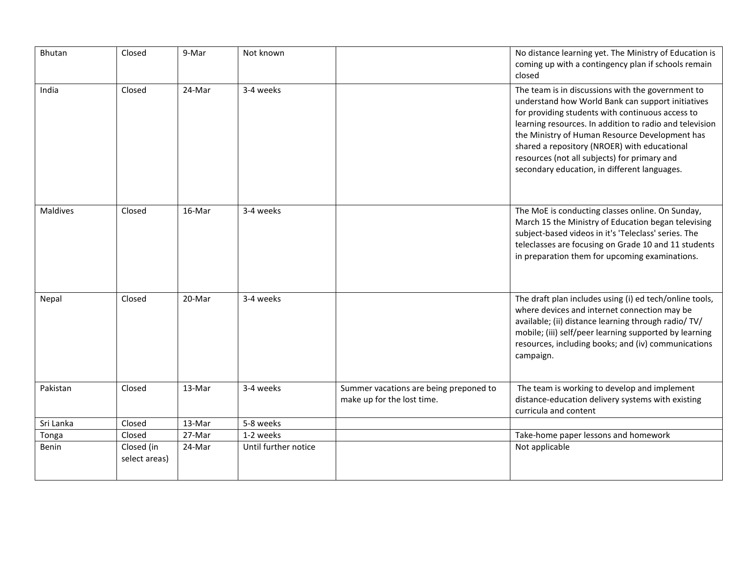| Bhutan          | Closed                      | 9-Mar  | Not known            |                                                                      | No distance learning yet. The Ministry of Education is<br>coming up with a contingency plan if schools remain<br>closed                                                                                                                                                                                                                                                                                                 |
|-----------------|-----------------------------|--------|----------------------|----------------------------------------------------------------------|-------------------------------------------------------------------------------------------------------------------------------------------------------------------------------------------------------------------------------------------------------------------------------------------------------------------------------------------------------------------------------------------------------------------------|
| India           | Closed                      | 24-Mar | 3-4 weeks            |                                                                      | The team is in discussions with the government to<br>understand how World Bank can support initiatives<br>for providing students with continuous access to<br>learning resources. In addition to radio and television<br>the Ministry of Human Resource Development has<br>shared a repository (NROER) with educational<br>resources (not all subjects) for primary and<br>secondary education, in different languages. |
| <b>Maldives</b> | Closed                      | 16-Mar | 3-4 weeks            |                                                                      | The MoE is conducting classes online. On Sunday,<br>March 15 the Ministry of Education began televising<br>subject-based videos in it's 'Teleclass' series. The<br>teleclasses are focusing on Grade 10 and 11 students<br>in preparation them for upcoming examinations.                                                                                                                                               |
| Nepal           | Closed                      | 20-Mar | 3-4 weeks            |                                                                      | The draft plan includes using (i) ed tech/online tools,<br>where devices and internet connection may be<br>available; (ii) distance learning through radio/ TV/<br>mobile; (iii) self/peer learning supported by learning<br>resources, including books; and (iv) communications<br>campaign.                                                                                                                           |
| Pakistan        | Closed                      | 13-Mar | 3-4 weeks            | Summer vacations are being preponed to<br>make up for the lost time. | The team is working to develop and implement<br>distance-education delivery systems with existing<br>curricula and content                                                                                                                                                                                                                                                                                              |
| Sri Lanka       | Closed                      | 13-Mar | 5-8 weeks            |                                                                      |                                                                                                                                                                                                                                                                                                                                                                                                                         |
| Tonga           | Closed                      | 27-Mar | 1-2 weeks            |                                                                      | Take-home paper lessons and homework                                                                                                                                                                                                                                                                                                                                                                                    |
| Benin           | Closed (in<br>select areas) | 24-Mar | Until further notice |                                                                      | Not applicable                                                                                                                                                                                                                                                                                                                                                                                                          |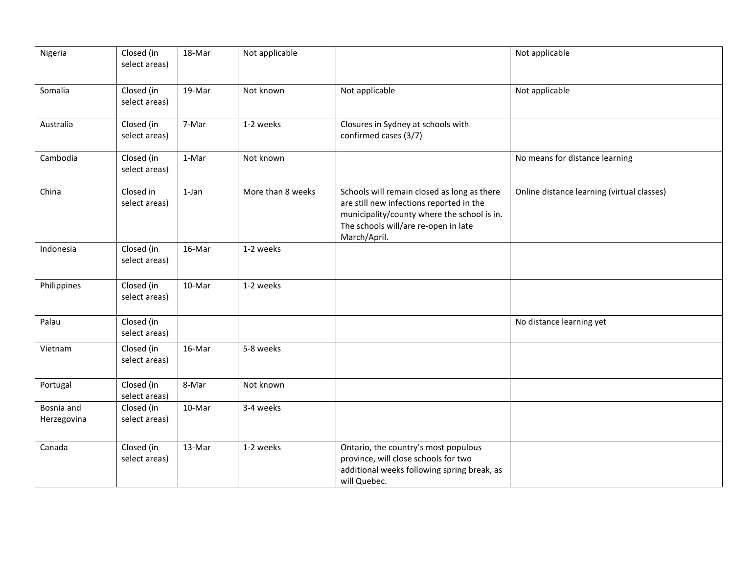| Nigeria                   | Closed (in<br>select areas) | 18-Mar | Not applicable    |                                                                                                                                                                                                | Not applicable                             |
|---------------------------|-----------------------------|--------|-------------------|------------------------------------------------------------------------------------------------------------------------------------------------------------------------------------------------|--------------------------------------------|
| Somalia                   | Closed (in<br>select areas) | 19-Mar | Not known         | Not applicable                                                                                                                                                                                 | Not applicable                             |
| Australia                 | Closed (in<br>select areas) | 7-Mar  | 1-2 weeks         | Closures in Sydney at schools with<br>confirmed cases (3/7)                                                                                                                                    |                                            |
| Cambodia                  | Closed (in<br>select areas) | 1-Mar  | Not known         |                                                                                                                                                                                                | No means for distance learning             |
| China                     | Closed in<br>select areas)  | 1-Jan  | More than 8 weeks | Schools will remain closed as long as there<br>are still new infections reported in the<br>municipality/county where the school is in.<br>The schools will/are re-open in late<br>March/April. | Online distance learning (virtual classes) |
| Indonesia                 | Closed (in<br>select areas) | 16-Mar | 1-2 weeks         |                                                                                                                                                                                                |                                            |
| Philippines               | Closed (in<br>select areas) | 10-Mar | 1-2 weeks         |                                                                                                                                                                                                |                                            |
| Palau                     | Closed (in<br>select areas) |        |                   |                                                                                                                                                                                                | No distance learning yet                   |
| Vietnam                   | Closed (in<br>select areas) | 16-Mar | 5-8 weeks         |                                                                                                                                                                                                |                                            |
| Portugal                  | Closed (in<br>select areas) | 8-Mar  | Not known         |                                                                                                                                                                                                |                                            |
| Bosnia and<br>Herzegovina | Closed (in<br>select areas) | 10-Mar | 3-4 weeks         |                                                                                                                                                                                                |                                            |
| Canada                    | Closed (in<br>select areas) | 13-Mar | 1-2 weeks         | Ontario, the country's most populous<br>province, will close schools for two<br>additional weeks following spring break, as<br>will Quebec.                                                    |                                            |